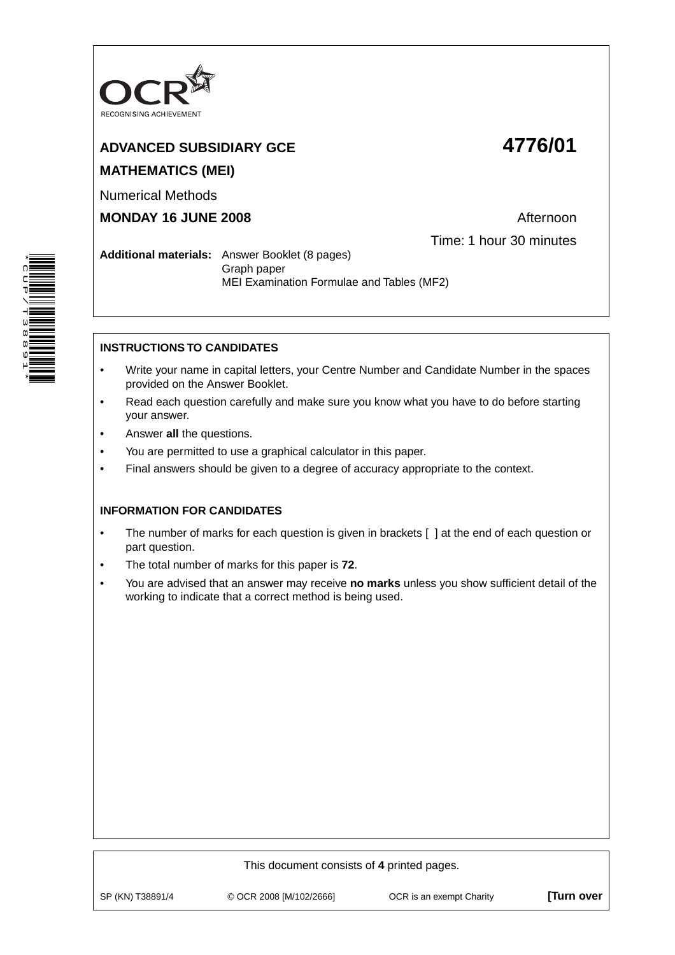

# **ADVANCED SUBSIDIARY GCE 4776/01 MATHEMATICS (MEI)**

Numerical Methods

**MONDAY 16 JUNE 2008 Afternoon** 

Time: 1 hour 30 minutes

**Additional materials:** Answer Booklet (8 pages) Graph paper MEI Examination Formulae and Tables (MF2)

## **INSTRUCTIONS TO CANDIDATES**

- Write your name in capital letters, your Centre Number and Candidate Number in the spaces provided on the Answer Booklet.
- Read each question carefully and make sure you know what you have to do before starting your answer.
- Answer **all** the questions.
- You are permitted to use a graphical calculator in this paper.
- Final answers should be given to a degree of accuracy appropriate to the context.

## **INFORMATION FOR CANDIDATES**

- The number of marks for each question is given in brackets [ ] at the end of each question or part question.
- The total number of marks for this paper is **72**.
- You are advised that an answer may receive **no marks** unless you show sufficient detail of the working to indicate that a correct method is being used.

This document consists of **4** printed pages. SP (KN) T38891/4 © OCR 2008 [M/102/2666] OCR is an exempt Charity **[Turn over**

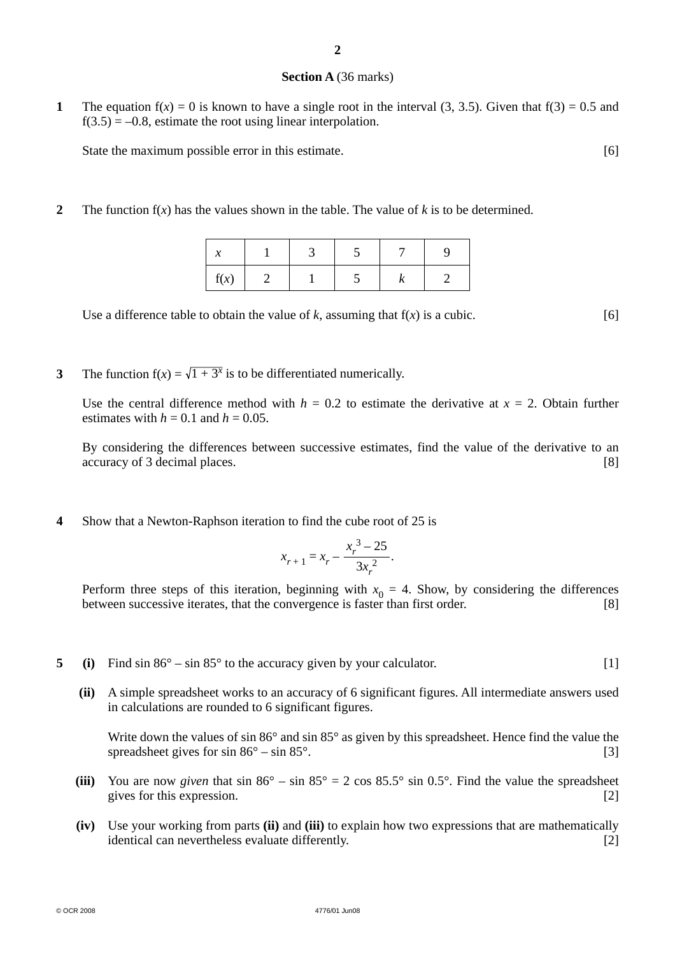#### **Section A** (36 marks)

**1** The equation  $f(x) = 0$  is known to have a single root in the interval (3, 3.5). Given that  $f(3) = 0.5$  and  $f(3.5) = -0.8$ , estimate the root using linear interpolation.

State the maximum possible error in this estimate. [6]

**2** The function  $f(x)$  has the values shown in the table. The value of  $k$  is to be determined.

| f(x) |  |  |  |
|------|--|--|--|

Use a difference table to obtain the value of  $k$ , assuming that  $f(x)$  is a cubic. [6]

**3** The function  $f(x) = \sqrt{1 + 3^x}$  is to be differentiated numerically.

Use the central difference method with  $h = 0.2$  to estimate the derivative at  $x = 2$ . Obtain further estimates with  $h = 0.1$  and  $h = 0.05$ .

 By considering the differences between successive estimates, find the value of the derivative to an accuracy of 3 decimal places. [8]

**4** Show that a Newton-Raphson iteration to find the cube root of 25 is

$$
x_{r+1} = x_r - \frac{x_r^3 - 25}{3x_r^2}.
$$

Perform three steps of this iteration, beginning with  $x_0 = 4$ . Show, by considering the differences between successive iterates, that the convergence is faster than first order. between successive iterates, that the convergence is faster than first order.

- **5** (i) Find sin 86° sin 85° to the accuracy given by your calculator. [1]
	- **(ii)** A simple spreadsheet works to an accuracy of 6 significant figures. All intermediate answers used in calculations are rounded to 6 significant figures.

Write down the values of sin 86° and sin 85° as given by this spreadsheet. Hence find the value the spreadsheet gives for  $\sin 86^\circ - \sin 85^\circ$ . [3]

- (iii) You are now *given* that  $\sin 86^\circ \sin 85^\circ = 2 \cos 85.5^\circ \sin 0.5^\circ$ . Find the value the spreadsheet gives for this expression. [2]
- **(iv)** Use your working from parts **(ii)** and **(iii)** to explain how two expressions that are mathematically identical can nevertheless evaluate differently. [2]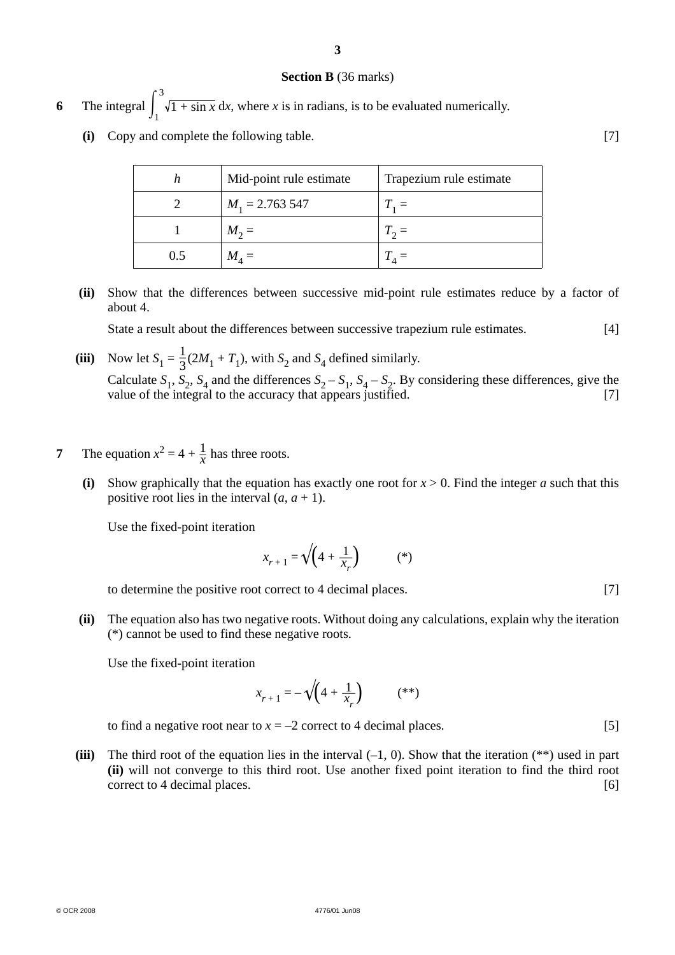#### **Section B** (36 marks)

- **6** The integral  $\int_1$ 3  $1 + \sin x \, dx$ , where *x* is in radians, is to be evaluated numerically.
	- **(i)** Copy and complete the following table. [7]

|     | Mid-point rule estimate | Trapezium rule estimate |
|-----|-------------------------|-------------------------|
|     | $M_1 = 2.763547$        | $T_1 =$                 |
|     | $M_2 =$                 | $T_2 =$                 |
| 0.5 | $M_A =$                 |                         |

 **(ii)** Show that the differences between successive mid-point rule estimates reduce by a factor of about 4.

State a result about the differences between successive trapezium rule estimates. [4]

- (iii) Now let  $S_1 = \frac{1}{3}(2M_1 + T_1)$ , with  $S_2$  and  $S_4$  defined similarly. Calculate  $S_1$ ,  $S_2$ ,  $S_4$  and the differences  $S_2 - S_1$ ,  $S_4 - S_2$ . By considering these differences, give the value of the integral to the accuracy that appears justified. [7] value of the integral to the accuracy that appears justified.
- **7** The equation  $x^2 = 4 + \frac{1}{x}$  has three roots.
	- **(i)** Show graphically that the equation has exactly one root for  $x > 0$ . Find the integer *a* such that this positive root lies in the interval  $(a, a + 1)$ .

Use the fixed-point iteration

$$
x_{r+1} = \sqrt{\left(4 + \frac{1}{x_r}\right)}\tag{*}
$$

to determine the positive root correct to 4 decimal places. [7]

 **(ii)** The equation also has two negative roots. Without doing any calculations, explain why the iteration (\*) cannot be used to find these negative roots.

Use the fixed-point iteration

$$
x_{r+1} = -\sqrt{\left(4 + \frac{1}{x_r}\right)}\tag{**}
$$

to find a negative root near to  $x = -2$  correct to 4 decimal places. [5]

**(iii)** The third root of the equation lies in the interval  $(-1, 0)$ . Show that the iteration  $(**)$  used in part **(ii)** will not converge to this third root. Use another fixed point iteration to find the third root correct to 4 decimal places. [6]